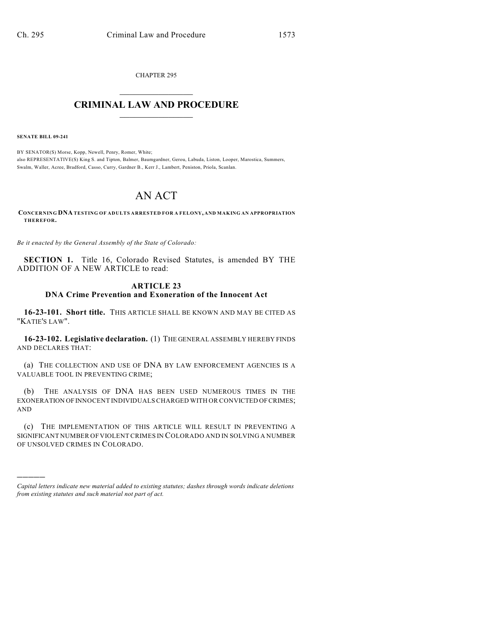CHAPTER 295

## $\overline{\phantom{a}}$  . The set of the set of the set of the set of the set of the set of the set of the set of the set of the set of the set of the set of the set of the set of the set of the set of the set of the set of the set o **CRIMINAL LAW AND PROCEDURE**  $\frac{1}{2}$  ,  $\frac{1}{2}$  ,  $\frac{1}{2}$  ,  $\frac{1}{2}$  ,  $\frac{1}{2}$  ,  $\frac{1}{2}$  ,  $\frac{1}{2}$

**SENATE BILL 09-241**

)))))

BY SENATOR(S) Morse, Kopp, Newell, Penry, Romer, White; also REPRESENTATIVE(S) King S. and Tipton, Balmer, Baumgardner, Gerou, Labuda, Liston, Looper, Marostica, Summers, Swalm, Waller, Acree, Bradford, Casso, Curry, Gardner B., Kerr J., Lambert, Peniston, Priola, Scanlan.

## AN ACT

**CONCERNING DNA TESTING OF ADULTS ARRESTED FOR A FELONY, AND MAKING AN APPROPRIATION THEREFOR.**

*Be it enacted by the General Assembly of the State of Colorado:*

**SECTION 1.** Title 16, Colorado Revised Statutes, is amended BY THE ADDITION OF A NEW ARTICLE to read:

## **ARTICLE 23 DNA Crime Prevention and Exoneration of the Innocent Act**

**16-23-101. Short title.** THIS ARTICLE SHALL BE KNOWN AND MAY BE CITED AS "KATIE'S LAW".

**16-23-102. Legislative declaration.** (1) THE GENERAL ASSEMBLY HEREBY FINDS AND DECLARES THAT:

(a) THE COLLECTION AND USE OF DNA BY LAW ENFORCEMENT AGENCIES IS A VALUABLE TOOL IN PREVENTING CRIME;

(b) THE ANALYSIS OF DNA HAS BEEN USED NUMEROUS TIMES IN THE EXONERATION OF INNOCENT INDIVIDUALS CHARGED WITH OR CONVICTED OF CRIMES; AND

(c) THE IMPLEMENTATION OF THIS ARTICLE WILL RESULT IN PREVENTING A SIGNIFICANT NUMBER OF VIOLENT CRIMES IN COLORADO AND IN SOLVING A NUMBER OF UNSOLVED CRIMES IN COLORADO.

*Capital letters indicate new material added to existing statutes; dashes through words indicate deletions from existing statutes and such material not part of act.*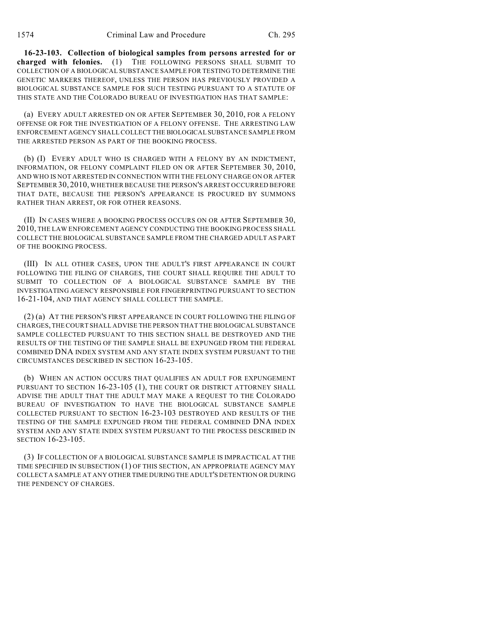**16-23-103. Collection of biological samples from persons arrested for or charged with felonies.** (1) THE FOLLOWING PERSONS SHALL SUBMIT TO COLLECTION OF A BIOLOGICAL SUBSTANCE SAMPLE FOR TESTING TO DETERMINE THE GENETIC MARKERS THEREOF, UNLESS THE PERSON HAS PREVIOUSLY PROVIDED A BIOLOGICAL SUBSTANCE SAMPLE FOR SUCH TESTING PURSUANT TO A STATUTE OF THIS STATE AND THE COLORADO BUREAU OF INVESTIGATION HAS THAT SAMPLE:

(a) EVERY ADULT ARRESTED ON OR AFTER SEPTEMBER 30, 2010, FOR A FELONY OFFENSE OR FOR THE INVESTIGATION OF A FELONY OFFENSE. THE ARRESTING LAW ENFORCEMENT AGENCY SHALL COLLECT THE BIOLOGICAL SUBSTANCE SAMPLE FROM THE ARRESTED PERSON AS PART OF THE BOOKING PROCESS.

(b) (I) EVERY ADULT WHO IS CHARGED WITH A FELONY BY AN INDICTMENT, INFORMATION, OR FELONY COMPLAINT FILED ON OR AFTER SEPTEMBER 30, 2010, AND WHO IS NOT ARRESTED IN CONNECTION WITH THE FELONY CHARGE ON OR AFTER SEPTEMBER 30, 2010, WHETHER BECAUSE THE PERSON'S ARREST OCCURRED BEFORE THAT DATE, BECAUSE THE PERSON'S APPEARANCE IS PROCURED BY SUMMONS RATHER THAN ARREST, OR FOR OTHER REASONS.

(II) IN CASES WHERE A BOOKING PROCESS OCCURS ON OR AFTER SEPTEMBER 30, 2010, THE LAW ENFORCEMENT AGENCY CONDUCTING THE BOOKING PROCESS SHALL COLLECT THE BIOLOGICAL SUBSTANCE SAMPLE FROM THE CHARGED ADULT AS PART OF THE BOOKING PROCESS.

(III) IN ALL OTHER CASES, UPON THE ADULT'S FIRST APPEARANCE IN COURT FOLLOWING THE FILING OF CHARGES, THE COURT SHALL REQUIRE THE ADULT TO SUBMIT TO COLLECTION OF A BIOLOGICAL SUBSTANCE SAMPLE BY THE INVESTIGATING AGENCY RESPONSIBLE FOR FINGERPRINTING PURSUANT TO SECTION 16-21-104, AND THAT AGENCY SHALL COLLECT THE SAMPLE.

(2) (a) AT THE PERSON'S FIRST APPEARANCE IN COURT FOLLOWING THE FILING OF CHARGES, THE COURT SHALL ADVISE THE PERSON THAT THE BIOLOGICAL SUBSTANCE SAMPLE COLLECTED PURSUANT TO THIS SECTION SHALL BE DESTROYED AND THE RESULTS OF THE TESTING OF THE SAMPLE SHALL BE EXPUNGED FROM THE FEDERAL COMBINED DNA INDEX SYSTEM AND ANY STATE INDEX SYSTEM PURSUANT TO THE CIRCUMSTANCES DESCRIBED IN SECTION 16-23-105.

(b) WHEN AN ACTION OCCURS THAT QUALIFIES AN ADULT FOR EXPUNGEMENT PURSUANT TO SECTION 16-23-105 (1), THE COURT OR DISTRICT ATTORNEY SHALL ADVISE THE ADULT THAT THE ADULT MAY MAKE A REQUEST TO THE COLORADO BUREAU OF INVESTIGATION TO HAVE THE BIOLOGICAL SUBSTANCE SAMPLE COLLECTED PURSUANT TO SECTION 16-23-103 DESTROYED AND RESULTS OF THE TESTING OF THE SAMPLE EXPUNGED FROM THE FEDERAL COMBINED DNA INDEX SYSTEM AND ANY STATE INDEX SYSTEM PURSUANT TO THE PROCESS DESCRIBED IN SECTION 16-23-105.

(3) IF COLLECTION OF A BIOLOGICAL SUBSTANCE SAMPLE IS IMPRACTICAL AT THE TIME SPECIFIED IN SUBSECTION (1) OF THIS SECTION, AN APPROPRIATE AGENCY MAY COLLECT A SAMPLE AT ANY OTHER TIME DURING THE ADULT'S DETENTION OR DURING THE PENDENCY OF CHARGES.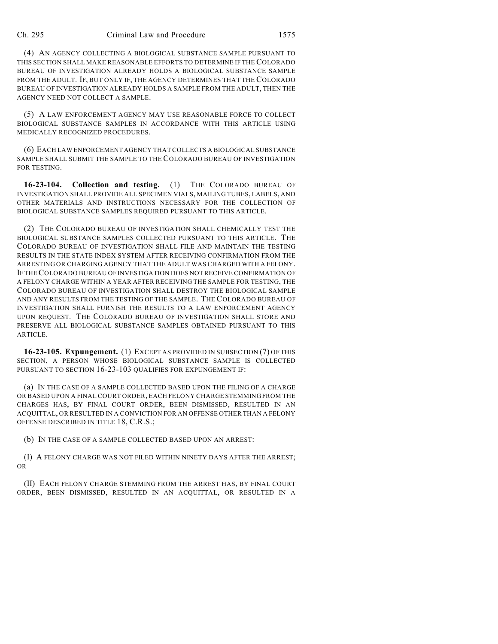(4) AN AGENCY COLLECTING A BIOLOGICAL SUBSTANCE SAMPLE PURSUANT TO THIS SECTION SHALL MAKE REASONABLE EFFORTS TO DETERMINE IF THE COLORADO BUREAU OF INVESTIGATION ALREADY HOLDS A BIOLOGICAL SUBSTANCE SAMPLE FROM THE ADULT. IF, BUT ONLY IF, THE AGENCY DETERMINES THAT THE COLORADO BUREAU OF INVESTIGATION ALREADY HOLDS A SAMPLE FROM THE ADULT, THEN THE AGENCY NEED NOT COLLECT A SAMPLE.

(5) A LAW ENFORCEMENT AGENCY MAY USE REASONABLE FORCE TO COLLECT BIOLOGICAL SUBSTANCE SAMPLES IN ACCORDANCE WITH THIS ARTICLE USING MEDICALLY RECOGNIZED PROCEDURES.

(6) EACH LAW ENFORCEMENT AGENCY THAT COLLECTS A BIOLOGICAL SUBSTANCE SAMPLE SHALL SUBMIT THE SAMPLE TO THE COLORADO BUREAU OF INVESTIGATION FOR TESTING.

**16-23-104. Collection and testing.** (1) THE COLORADO BUREAU OF INVESTIGATION SHALL PROVIDE ALL SPECIMEN VIALS, MAILING TUBES, LABELS, AND OTHER MATERIALS AND INSTRUCTIONS NECESSARY FOR THE COLLECTION OF BIOLOGICAL SUBSTANCE SAMPLES REQUIRED PURSUANT TO THIS ARTICLE.

(2) THE COLORADO BUREAU OF INVESTIGATION SHALL CHEMICALLY TEST THE BIOLOGICAL SUBSTANCE SAMPLES COLLECTED PURSUANT TO THIS ARTICLE. THE COLORADO BUREAU OF INVESTIGATION SHALL FILE AND MAINTAIN THE TESTING RESULTS IN THE STATE INDEX SYSTEM AFTER RECEIVING CONFIRMATION FROM THE ARRESTING OR CHARGING AGENCY THAT THE ADULT WAS CHARGED WITH A FELONY. IF THE COLORADO BUREAU OF INVESTIGATION DOES NOT RECEIVE CONFIRMATION OF A FELONY CHARGE WITHIN A YEAR AFTER RECEIVING THE SAMPLE FOR TESTING, THE COLORADO BUREAU OF INVESTIGATION SHALL DESTROY THE BIOLOGICAL SAMPLE AND ANY RESULTS FROM THE TESTING OF THE SAMPLE. THE COLORADO BUREAU OF INVESTIGATION SHALL FURNISH THE RESULTS TO A LAW ENFORCEMENT AGENCY UPON REQUEST. THE COLORADO BUREAU OF INVESTIGATION SHALL STORE AND PRESERVE ALL BIOLOGICAL SUBSTANCE SAMPLES OBTAINED PURSUANT TO THIS ARTICLE.

**16-23-105. Expungement.** (1) EXCEPT AS PROVIDED IN SUBSECTION (7) OF THIS SECTION, A PERSON WHOSE BIOLOGICAL SUBSTANCE SAMPLE IS COLLECTED PURSUANT TO SECTION 16-23-103 QUALIFIES FOR EXPUNGEMENT IF:

(a) IN THE CASE OF A SAMPLE COLLECTED BASED UPON THE FILING OF A CHARGE OR BASED UPON A FINAL COURT ORDER, EACH FELONY CHARGE STEMMING FROM THE CHARGES HAS, BY FINAL COURT ORDER, BEEN DISMISSED, RESULTED IN AN ACQUITTAL, OR RESULTED IN A CONVICTION FOR AN OFFENSE OTHER THAN A FELONY OFFENSE DESCRIBED IN TITLE 18, C.R.S.;

(b) IN THE CASE OF A SAMPLE COLLECTED BASED UPON AN ARREST:

(I) A FELONY CHARGE WAS NOT FILED WITHIN NINETY DAYS AFTER THE ARREST; OR

(II) EACH FELONY CHARGE STEMMING FROM THE ARREST HAS, BY FINAL COURT ORDER, BEEN DISMISSED, RESULTED IN AN ACQUITTAL, OR RESULTED IN A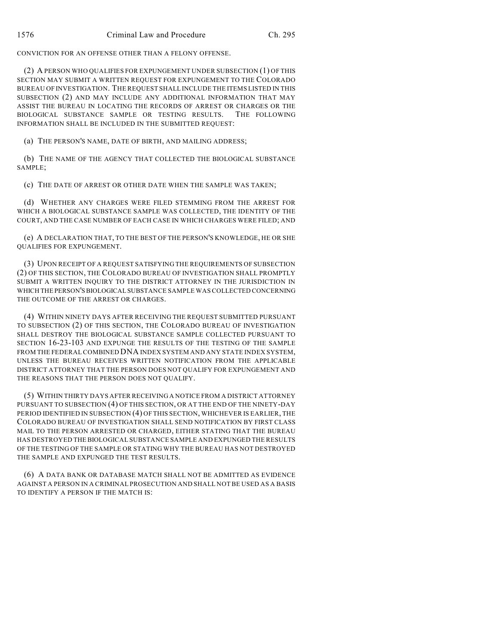CONVICTION FOR AN OFFENSE OTHER THAN A FELONY OFFENSE.

(2) A PERSON WHO QUALIFIES FOR EXPUNGEMENT UNDER SUBSECTION (1) OF THIS SECTION MAY SUBMIT A WRITTEN REQUEST FOR EXPUNGEMENT TO THE COLORADO BUREAU OF INVESTIGATION. THE REQUEST SHALL INCLUDE THE ITEMS LISTED IN THIS SUBSECTION (2) AND MAY INCLUDE ANY ADDITIONAL INFORMATION THAT MAY ASSIST THE BUREAU IN LOCATING THE RECORDS OF ARREST OR CHARGES OR THE BIOLOGICAL SUBSTANCE SAMPLE OR TESTING RESULTS. THE FOLLOWING INFORMATION SHALL BE INCLUDED IN THE SUBMITTED REQUEST:

(a) THE PERSON'S NAME, DATE OF BIRTH, AND MAILING ADDRESS;

(b) THE NAME OF THE AGENCY THAT COLLECTED THE BIOLOGICAL SUBSTANCE SAMPLE;

(c) THE DATE OF ARREST OR OTHER DATE WHEN THE SAMPLE WAS TAKEN;

(d) WHETHER ANY CHARGES WERE FILED STEMMING FROM THE ARREST FOR WHICH A BIOLOGICAL SUBSTANCE SAMPLE WAS COLLECTED, THE IDENTITY OF THE COURT, AND THE CASE NUMBER OF EACH CASE IN WHICH CHARGES WERE FILED; AND

(e) A DECLARATION THAT, TO THE BEST OF THE PERSON'S KNOWLEDGE, HE OR SHE QUALIFIES FOR EXPUNGEMENT.

(3) UPON RECEIPT OF A REQUEST SATISFYING THE REQUIREMENTS OF SUBSECTION (2) OF THIS SECTION, THE COLORADO BUREAU OF INVESTIGATION SHALL PROMPTLY SUBMIT A WRITTEN INQUIRY TO THE DISTRICT ATTORNEY IN THE JURISDICTION IN WHICH THE PERSON'S BIOLOGICAL SUBSTANCE SAMPLE WAS COLLECTED CONCERNING THE OUTCOME OF THE ARREST OR CHARGES.

(4) WITHIN NINETY DAYS AFTER RECEIVING THE REQUEST SUBMITTED PURSUANT TO SUBSECTION (2) OF THIS SECTION, THE COLORADO BUREAU OF INVESTIGATION SHALL DESTROY THE BIOLOGICAL SUBSTANCE SAMPLE COLLECTED PURSUANT TO SECTION 16-23-103 AND EXPUNGE THE RESULTS OF THE TESTING OF THE SAMPLE FROM THE FEDERAL COMBINED DNA INDEX SYSTEM AND ANY STATE INDEX SYSTEM, UNLESS THE BUREAU RECEIVES WRITTEN NOTIFICATION FROM THE APPLICABLE DISTRICT ATTORNEY THAT THE PERSON DOES NOT QUALIFY FOR EXPUNGEMENT AND THE REASONS THAT THE PERSON DOES NOT QUALIFY.

(5) WITHIN THIRTY DAYS AFTER RECEIVING A NOTICE FROM A DISTRICT ATTORNEY PURSUANT TO SUBSECTION (4) OF THIS SECTION, OR AT THE END OF THE NINETY-DAY PERIOD IDENTIFIED IN SUBSECTION (4) OF THIS SECTION, WHICHEVER IS EARLIER, THE COLORADO BUREAU OF INVESTIGATION SHALL SEND NOTIFICATION BY FIRST CLASS MAIL TO THE PERSON ARRESTED OR CHARGED, EITHER STATING THAT THE BUREAU HAS DESTROYED THE BIOLOGICAL SUBSTANCE SAMPLE AND EXPUNGED THE RESULTS OF THE TESTING OF THE SAMPLE OR STATING WHY THE BUREAU HAS NOT DESTROYED THE SAMPLE AND EXPUNGED THE TEST RESULTS.

(6) A DATA BANK OR DATABASE MATCH SHALL NOT BE ADMITTED AS EVIDENCE AGAINST A PERSON IN A CRIMINAL PROSECUTION AND SHALL NOT BE USED AS A BASIS TO IDENTIFY A PERSON IF THE MATCH IS: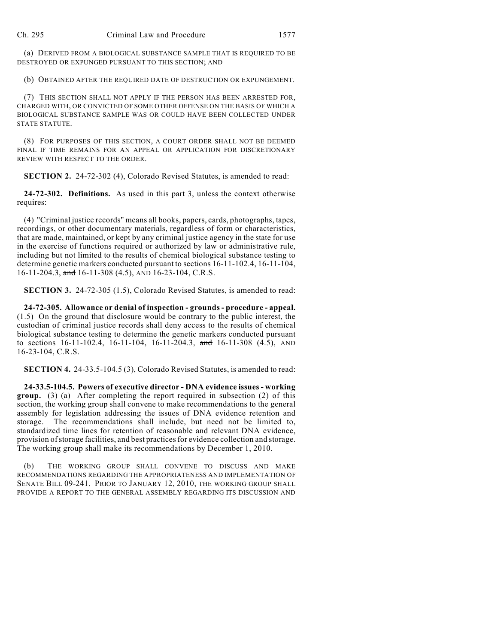(a) DERIVED FROM A BIOLOGICAL SUBSTANCE SAMPLE THAT IS REQUIRED TO BE DESTROYED OR EXPUNGED PURSUANT TO THIS SECTION; AND

(b) OBTAINED AFTER THE REQUIRED DATE OF DESTRUCTION OR EXPUNGEMENT.

(7) THIS SECTION SHALL NOT APPLY IF THE PERSON HAS BEEN ARRESTED FOR, CHARGED WITH, OR CONVICTED OF SOME OTHER OFFENSE ON THE BASIS OF WHICH A BIOLOGICAL SUBSTANCE SAMPLE WAS OR COULD HAVE BEEN COLLECTED UNDER STATE STATUTE.

(8) FOR PURPOSES OF THIS SECTION, A COURT ORDER SHALL NOT BE DEEMED FINAL IF TIME REMAINS FOR AN APPEAL OR APPLICATION FOR DISCRETIONARY REVIEW WITH RESPECT TO THE ORDER.

**SECTION 2.** 24-72-302 (4), Colorado Revised Statutes, is amended to read:

**24-72-302. Definitions.** As used in this part 3, unless the context otherwise requires:

(4) "Criminal justice records" means all books, papers, cards, photographs, tapes, recordings, or other documentary materials, regardless of form or characteristics, that are made, maintained, or kept by any criminal justice agency in the state for use in the exercise of functions required or authorized by law or administrative rule, including but not limited to the results of chemical biological substance testing to determine genetic markers conducted pursuant to sections 16-11-102.4, 16-11-104, 16-11-204.3, and 16-11-308 (4.5), AND 16-23-104, C.R.S.

**SECTION 3.** 24-72-305 (1.5), Colorado Revised Statutes, is amended to read:

**24-72-305. Allowance or denial of inspection - grounds - procedure - appeal.** (1.5) On the ground that disclosure would be contrary to the public interest, the custodian of criminal justice records shall deny access to the results of chemical biological substance testing to determine the genetic markers conducted pursuant to sections  $16-11-102.4$ ,  $16-11-104$ ,  $16-11-204.3$ , and  $16-11-308$  (4.5), AND 16-23-104, C.R.S.

**SECTION 4.** 24-33.5-104.5 (3), Colorado Revised Statutes, is amended to read:

**24-33.5-104.5. Powers of executive director - DNA evidence issues - working group.** (3) (a) After completing the report required in subsection (2) of this section, the working group shall convene to make recommendations to the general assembly for legislation addressing the issues of DNA evidence retention and storage. The recommendations shall include, but need not be limited to, standardized time lines for retention of reasonable and relevant DNA evidence, provision of storage facilities, and best practices for evidence collection and storage. The working group shall make its recommendations by December 1, 2010.

(b) THE WORKING GROUP SHALL CONVENE TO DISCUSS AND MAKE RECOMMENDATIONS REGARDING THE APPROPRIATENESS AND IMPLEMENTATION OF SENATE BILL 09-241. PRIOR TO JANUARY 12, 2010, THE WORKING GROUP SHALL PROVIDE A REPORT TO THE GENERAL ASSEMBLY REGARDING ITS DISCUSSION AND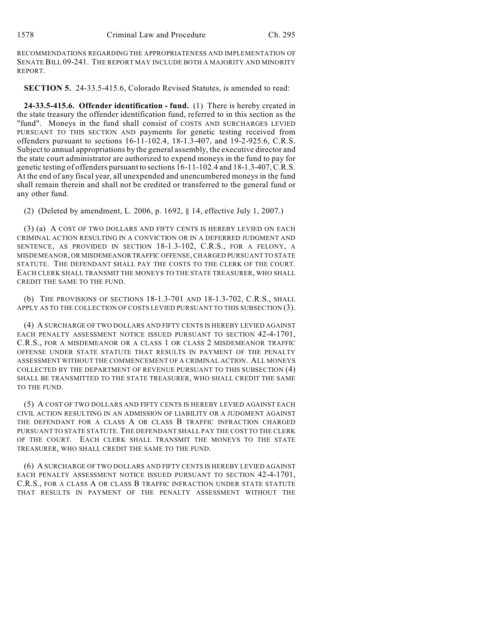RECOMMENDATIONS REGARDING THE APPROPRIATENESS AND IMPLEMENTATION OF SENATE BILL 09-241. THE REPORT MAY INCLUDE BOTH A MAJORITY AND MINORITY REPORT.

**SECTION 5.** 24-33.5-415.6, Colorado Revised Statutes, is amended to read:

**24-33.5-415.6. Offender identification - fund.** (1) There is hereby created in the state treasury the offender identification fund, referred to in this section as the "fund". Moneys in the fund shall consist of COSTS AND SURCHARGES LEVIED PURSUANT TO THIS SECTION AND payments for genetic testing received from offenders pursuant to sections 16-11-102.4, 18-1.3-407, and 19-2-925.6, C.R.S. Subject to annual appropriations by the general assembly, the executive director and the state court administrator are authorized to expend moneys in the fund to pay for genetic testing of offenders pursuant to sections 16-11-102.4 and 18-1.3-407, C.R.S. At the end of any fiscal year, all unexpended and unencumbered moneys in the fund shall remain therein and shall not be credited or transferred to the general fund or any other fund.

(2) (Deleted by amendment, L. 2006, p. 1692, § 14, effective July 1, 2007.)

(3) (a) A COST OF TWO DOLLARS AND FIFTY CENTS IS HEREBY LEVIED ON EACH CRIMINAL ACTION RESULTING IN A CONVICTION OR IN A DEFERRED JUDGMENT AND SENTENCE, AS PROVIDED IN SECTION 18-1.3-102, C.R.S., FOR A FELONY, A MISDEMEANOR, OR MISDEMEANOR TRAFFIC OFFENSE, CHARGED PURSUANT TO STATE STATUTE. THE DEFENDANT SHALL PAY THE COSTS TO THE CLERK OF THE COURT. EACH CLERK SHALL TRANSMIT THE MONEYS TO THE STATE TREASURER, WHO SHALL CREDIT THE SAME TO THE FUND.

(b) THE PROVISIONS OF SECTIONS 18-1.3-701 AND 18-1.3-702, C.R.S., SHALL APPLY AS TO THE COLLECTION OF COSTS LEVIED PURSUANT TO THIS SUBSECTION (3).

(4) A SURCHARGE OF TWO DOLLARS AND FIFTY CENTS IS HEREBY LEVIED AGAINST EACH PENALTY ASSESSMENT NOTICE ISSUED PURSUANT TO SECTION 42-4-1701, C.R.S., FOR A MISDEMEANOR OR A CLASS 1 OR CLASS 2 MISDEMEANOR TRAFFIC OFFENSE UNDER STATE STATUTE THAT RESULTS IN PAYMENT OF THE PENALTY ASSESSMENT WITHOUT THE COMMENCEMENT OF A CRIMINAL ACTION. ALL MONEYS COLLECTED BY THE DEPARTMENT OF REVENUE PURSUANT TO THIS SUBSECTION (4) SHALL BE TRANSMITTED TO THE STATE TREASURER, WHO SHALL CREDIT THE SAME TO THE FUND.

(5) A COST OF TWO DOLLARS AND FIFTY CENTS IS HEREBY LEVIED AGAINST EACH CIVIL ACTION RESULTING IN AN ADMISSION OF LIABILITY OR A JUDGMENT AGAINST THE DEFENDANT FOR A CLASS A OR CLASS B TRAFFIC INFRACTION CHARGED PURSUANT TO STATE STATUTE. THE DEFENDANT SHALL PAY THE COST TO THE CLERK OF THE COURT. EACH CLERK SHALL TRANSMIT THE MONEYS TO THE STATE TREASURER, WHO SHALL CREDIT THE SAME TO THE FUND.

(6) A SURCHARGE OF TWO DOLLARS AND FIFTY CENTS IS HEREBY LEVIED AGAINST EACH PENALTY ASSESSMENT NOTICE ISSUED PURSUANT TO SECTION 42-4-1701, C.R.S., FOR A CLASS A OR CLASS B TRAFFIC INFRACTION UNDER STATE STATUTE THAT RESULTS IN PAYMENT OF THE PENALTY ASSESSMENT WITHOUT THE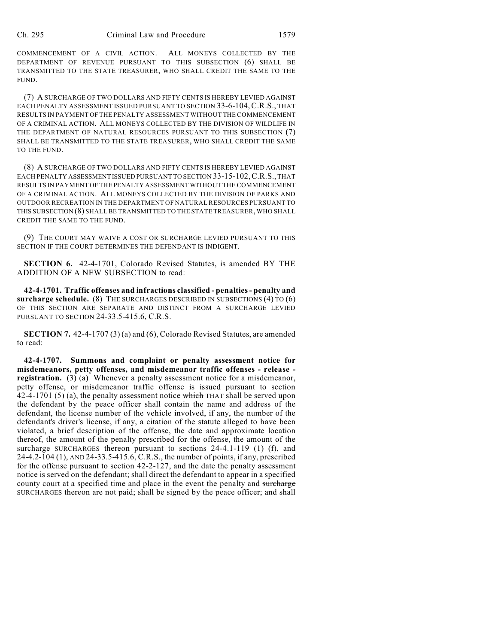COMMENCEMENT OF A CIVIL ACTION. ALL MONEYS COLLECTED BY THE DEPARTMENT OF REVENUE PURSUANT TO THIS SUBSECTION (6) SHALL BE TRANSMITTED TO THE STATE TREASURER, WHO SHALL CREDIT THE SAME TO THE FUND.

(7) A SURCHARGE OF TWO DOLLARS AND FIFTY CENTS IS HEREBY LEVIED AGAINST EACH PENALTY ASSESSMENT ISSUED PURSUANT TO SECTION 33-6-104,C.R.S., THAT RESULTS IN PAYMENT OF THE PENALTY ASSESSMENT WITHOUT THE COMMENCEMENT OF A CRIMINAL ACTION. ALL MONEYS COLLECTED BY THE DIVISION OF WILDLIFE IN THE DEPARTMENT OF NATURAL RESOURCES PURSUANT TO THIS SUBSECTION (7) SHALL BE TRANSMITTED TO THE STATE TREASURER, WHO SHALL CREDIT THE SAME TO THE FUND.

(8) A SURCHARGE OF TWO DOLLARS AND FIFTY CENTS IS HEREBY LEVIED AGAINST EACH PENALTY ASSESSMENT ISSUED PURSUANT TO SECTION 33-15-102,C.R.S., THAT RESULTS IN PAYMENT OF THE PENALTY ASSESSMENT WITHOUT THE COMMENCEMENT OF A CRIMINAL ACTION. ALL MONEYS COLLECTED BY THE DIVISION OF PARKS AND OUTDOOR RECREATION IN THE DEPARTMENT OF NATURAL RESOURCES PURSUANT TO THIS SUBSECTION (8) SHALL BE TRANSMITTED TO THE STATE TREASURER, WHO SHALL CREDIT THE SAME TO THE FUND.

(9) THE COURT MAY WAIVE A COST OR SURCHARGE LEVIED PURSUANT TO THIS SECTION IF THE COURT DETERMINES THE DEFENDANT IS INDIGENT.

**SECTION 6.** 42-4-1701, Colorado Revised Statutes, is amended BY THE ADDITION OF A NEW SUBSECTION to read:

**42-4-1701. Traffic offenses and infractions classified - penalties - penalty and** surcharge schedule. (8) THE SURCHARGES DESCRIBED IN SUBSECTIONS (4) TO (6) OF THIS SECTION ARE SEPARATE AND DISTINCT FROM A SURCHARGE LEVIED PURSUANT TO SECTION 24-33.5-415.6, C.R.S.

**SECTION 7.** 42-4-1707 (3) (a) and (6), Colorado Revised Statutes, are amended to read:

**42-4-1707. Summons and complaint or penalty assessment notice for misdemeanors, petty offenses, and misdemeanor traffic offenses - release registration.** (3) (a) Whenever a penalty assessment notice for a misdemeanor, petty offense, or misdemeanor traffic offense is issued pursuant to section 42-4-1701 (5) (a), the penalty assessment notice which THAT shall be served upon the defendant by the peace officer shall contain the name and address of the defendant, the license number of the vehicle involved, if any, the number of the defendant's driver's license, if any, a citation of the statute alleged to have been violated, a brief description of the offense, the date and approximate location thereof, the amount of the penalty prescribed for the offense, the amount of the surcharge SURCHARGES thereon pursuant to sections  $24-4.1-119$  (1) (f), and 24-4.2-104 (1), AND 24-33.5-415.6, C.R.S., the number of points, if any, prescribed for the offense pursuant to section 42-2-127, and the date the penalty assessment notice is served on the defendant; shall direct the defendant to appear in a specified county court at a specified time and place in the event the penalty and surcharge SURCHARGES thereon are not paid; shall be signed by the peace officer; and shall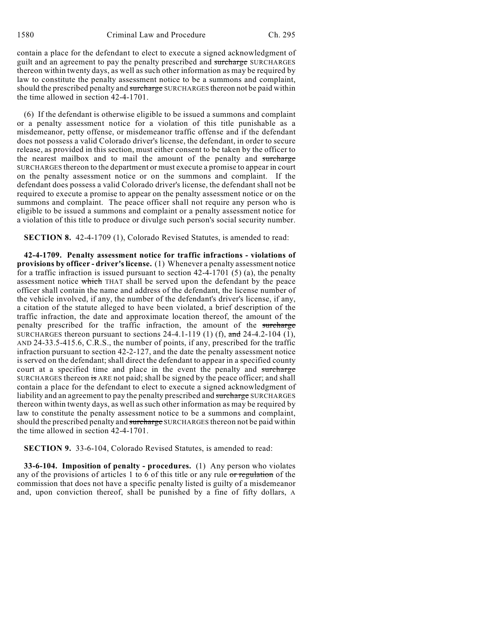contain a place for the defendant to elect to execute a signed acknowledgment of guilt and an agreement to pay the penalty prescribed and surcharge SURCHARGES thereon within twenty days, as well as such other information as may be required by law to constitute the penalty assessment notice to be a summons and complaint, should the prescribed penalty and surcharge SURCHARGES thereon not be paid within the time allowed in section 42-4-1701.

(6) If the defendant is otherwise eligible to be issued a summons and complaint or a penalty assessment notice for a violation of this title punishable as a misdemeanor, petty offense, or misdemeanor traffic offense and if the defendant does not possess a valid Colorado driver's license, the defendant, in order to secure release, as provided in this section, must either consent to be taken by the officer to the nearest mailbox and to mail the amount of the penalty and surcharge SURCHARGES thereon to the department or must execute a promise to appear in court on the penalty assessment notice or on the summons and complaint. If the defendant does possess a valid Colorado driver's license, the defendant shall not be required to execute a promise to appear on the penalty assessment notice or on the summons and complaint. The peace officer shall not require any person who is eligible to be issued a summons and complaint or a penalty assessment notice for a violation of this title to produce or divulge such person's social security number.

**SECTION 8.** 42-4-1709 (1), Colorado Revised Statutes, is amended to read:

**42-4-1709. Penalty assessment notice for traffic infractions - violations of provisions by officer - driver's license.** (1) Whenever a penalty assessment notice for a traffic infraction is issued pursuant to section 42-4-1701 (5) (a), the penalty assessment notice which THAT shall be served upon the defendant by the peace officer shall contain the name and address of the defendant, the license number of the vehicle involved, if any, the number of the defendant's driver's license, if any, a citation of the statute alleged to have been violated, a brief description of the traffic infraction, the date and approximate location thereof, the amount of the penalty prescribed for the traffic infraction, the amount of the surcharge SURCHARGES thereon pursuant to sections 24-4.1-119 (1) (f), and 24-4.2-104 (1), AND 24-33.5-415.6, C.R.S., the number of points, if any, prescribed for the traffic infraction pursuant to section 42-2-127, and the date the penalty assessment notice is served on the defendant; shall direct the defendant to appear in a specified county court at a specified time and place in the event the penalty and surcharge SURCHARGES thereon is ARE not paid; shall be signed by the peace officer; and shall contain a place for the defendant to elect to execute a signed acknowledgment of liability and an agreement to pay the penalty prescribed and surcharge SURCHARGES thereon within twenty days, as well as such other information as may be required by law to constitute the penalty assessment notice to be a summons and complaint, should the prescribed penalty and surcharge SURCHARGES thereon not be paid within the time allowed in section 42-4-1701.

**SECTION 9.** 33-6-104, Colorado Revised Statutes, is amended to read:

**33-6-104. Imposition of penalty - procedures.** (1) Any person who violates any of the provisions of articles 1 to 6 of this title or any rule  $\sigma r$  regulation of the commission that does not have a specific penalty listed is guilty of a misdemeanor and, upon conviction thereof, shall be punished by a fine of fifty dollars, A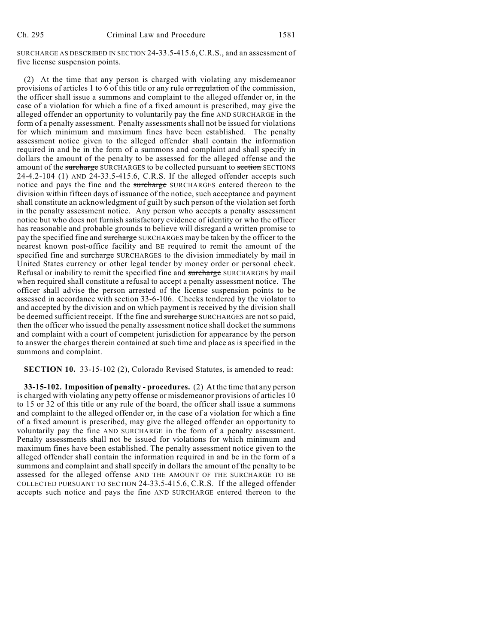SURCHARGE AS DESCRIBED IN SECTION 24-33.5-415.6,C.R.S., and an assessment of five license suspension points.

(2) At the time that any person is charged with violating any misdemeanor provisions of articles 1 to 6 of this title or any rule or regulation of the commission, the officer shall issue a summons and complaint to the alleged offender or, in the case of a violation for which a fine of a fixed amount is prescribed, may give the alleged offender an opportunity to voluntarily pay the fine AND SURCHARGE in the form of a penalty assessment. Penalty assessments shall not be issued for violations for which minimum and maximum fines have been established. The penalty assessment notice given to the alleged offender shall contain the information required in and be in the form of a summons and complaint and shall specify in dollars the amount of the penalty to be assessed for the alleged offense and the amount of the surcharge SURCHARGES to be collected pursuant to section SECTIONS 24-4.2-104 (1) AND 24-33.5-415.6, C.R.S. If the alleged offender accepts such notice and pays the fine and the surcharge SURCHARGES entered thereon to the division within fifteen days of issuance of the notice, such acceptance and payment shall constitute an acknowledgment of guilt by such person of the violation set forth in the penalty assessment notice. Any person who accepts a penalty assessment notice but who does not furnish satisfactory evidence of identity or who the officer has reasonable and probable grounds to believe will disregard a written promise to pay the specified fine and surcharge SURCHARGES may be taken by the officer to the nearest known post-office facility and BE required to remit the amount of the specified fine and surcharge SURCHARGES to the division immediately by mail in United States currency or other legal tender by money order or personal check. Refusal or inability to remit the specified fine and surcharge SURCHARGES by mail when required shall constitute a refusal to accept a penalty assessment notice. The officer shall advise the person arrested of the license suspension points to be assessed in accordance with section 33-6-106. Checks tendered by the violator to and accepted by the division and on which payment is received by the division shall be deemed sufficient receipt. If the fine and surcharge SURCHARGES are not so paid, then the officer who issued the penalty assessment notice shall docket the summons and complaint with a court of competent jurisdiction for appearance by the person to answer the charges therein contained at such time and place as is specified in the summons and complaint.

**SECTION 10.** 33-15-102 (2), Colorado Revised Statutes, is amended to read:

**33-15-102. Imposition of penalty - procedures.** (2) At the time that any person is charged with violating any petty offense or misdemeanor provisions of articles 10 to 15 or 32 of this title or any rule of the board, the officer shall issue a summons and complaint to the alleged offender or, in the case of a violation for which a fine of a fixed amount is prescribed, may give the alleged offender an opportunity to voluntarily pay the fine AND SURCHARGE in the form of a penalty assessment. Penalty assessments shall not be issued for violations for which minimum and maximum fines have been established. The penalty assessment notice given to the alleged offender shall contain the information required in and be in the form of a summons and complaint and shall specify in dollars the amount of the penalty to be assessed for the alleged offense AND THE AMOUNT OF THE SURCHARGE TO BE COLLECTED PURSUANT TO SECTION 24-33.5-415.6, C.R.S. If the alleged offender accepts such notice and pays the fine AND SURCHARGE entered thereon to the